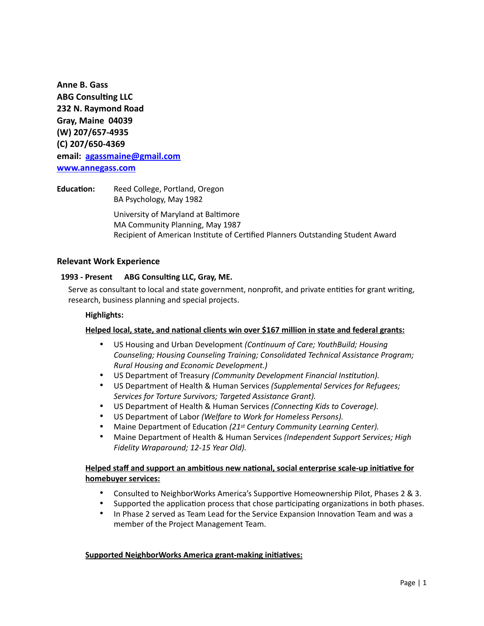**Anne B. Gass ABG Consulting LLC 232 N. Raymond Road Gray, Maine 04039 (W) 207/657-4935 (C) 207/650-4369 email: [agassmaine@gmail.com](mailto:agassmaine@gmail.com) [www.annegass.com](http://www.annegass.com)**

**Education:** Reed College, Portland, Oregon BA Psychology, May 1982 University of Maryland at Baltimore MA Community Planning, May 1987 Recipient of American Institute of Certified Planners Outstanding Student Award

#### **Relevant Work Experience**

#### **1993 - Present ABG Consulting LLC, Gray, ME.**

Serve as consultant to local and state government, nonprofit, and private entities for grant writing, research, business planning and special projects.

#### **Highlights:**

#### **Helped local, state, and national clients win over \$167 million in state and federal grants:**

- US Housing and Urban Development *(Continuum of Care; YouthBuild; Housing Counseling; Housing Counseling Training; Consolidated Technical Assistance Program; Rural Housing and Economic Development.)*
- US Department of Treasury *(Community Development Financial Institution).*
- US Department of Health & Human Services *(Supplemental Services for Refugees; Services for Torture Survivors; Targeted Assistance Grant).*
- US Department of Health & Human Services *(Connecting Kids to Coverage).*
- US Department of Labor *(Welfare to Work for Homeless Persons).*
- Maine Department of Education *(21st Century Community Learning Center).*
- Maine Department of Health & Human Services *(Independent Support Services; High Fidelity Wraparound; 12-15 Year Old).*

# **Helped staff and support an ambitious new national, social enterprise scale-up initiative for homebuyer services:**

- Consulted to NeighborWorks America's Supportive Homeownership Pilot, Phases 2 & 3.
- Supported the application process that chose participating organizations in both phases.
- In Phase 2 served as Team Lead for the Service Expansion Innovation Team and was a member of the Project Management Team.

#### **Supported NeighborWorks America grant-making initiatives:**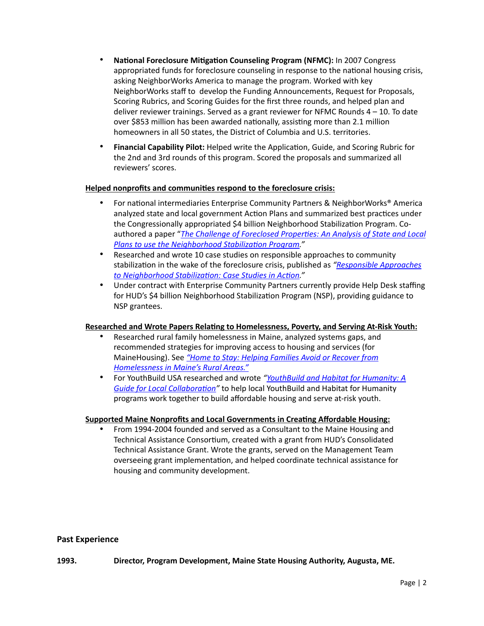- **National Foreclosure Mitigation Counseling Program (NFMC):** In 2007 Congress appropriated funds for foreclosure counseling in response to the national housing crisis, asking NeighborWorks America to manage the program. Worked with key NeighborWorks staff to develop the Funding Announcements, Request for Proposals, Scoring Rubrics, and Scoring Guides for the first three rounds, and helped plan and deliver reviewer trainings. Served as a grant reviewer for NFMC Rounds 4 – 10. To date over \$853 million has been awarded nationally, assisting more than 2.1 million homeowners in all 50 states, the District of Columbia and U.S. territories.
- **Financial Capability Pilot:** Helped write the Application, Guide, and Scoring Rubric for the 2nd and 3rd rounds of this program. Scored the proposals and summarized all reviewers' scores.

## **Helped nonprofits and communities respond to the foreclosure crisis:**

- For national intermediaries Enterprise Community Partners & NeighborWorks® America analyzed state and local government Action Plans and summarized best practices under the Congressionally appropriated \$4 billion Neighborhood Stabilization Program. Coauthored a paper "*[The Challenge of Foreclosed Properties: An Analysis of State and Local](https://www.hudexchange.info/resources/documents/AnalysisOfStateAndLocalPlansToUseNSP.pdf)  [Plans to use the Neighborhood Stabilization Program."](https://www.hudexchange.info/resources/documents/AnalysisOfStateAndLocalPlansToUseNSP.pdf)*
- Researched and wrote 10 case studies on responsible approaches to community stabilization in the wake of the foreclosure crisis, published as *"[Responsible Approaches](https://www.communityprogress.net/responsible-approaches-to-neighborhood-stabilization--case-studies-in-action-resources-93.php?searchType=resource&returnHash=filters%253Da%25253A1%25253A%25257Bi%25253A19%25253Bs%25253A2%25253A%25252269%252522%25253B%25257D%2526options%253Da%25253A11%25253A%25257Bs%25253A9%25253A%252522queryFunc%252522%25253Bs%25253A32%25253A%252522getResultsForResourcesSearchPage%252522%25253Bs%25253A11%25253A%252522enableCache%252522%25253Bb%25253A0%25253Bs%25253A5%25253A%252522limit%252522%25253Bi%25253A9%25253Bs%25253A6%25253A%252522offset%252522%25253Bi%25253A0%25253Bs%25253A10%25253A%252522searchTerm%252522%25253BN%25253Bs%25253A6%25253A%252522pageID%252522%25253Bs%25253A3%25253A%252522235%252522%25253Bs%25253A10%25253A%252522pageOffset%252522%25253Bi%25253A0%25253Bs%25253A13%25253A%252522resultsPerRow%252522%25253Bi%25253A3%25253Bs%25253A14%25253A%252522resultsPerPage%252522%25253Bi%25253A9%25253Bs%25253A9%25253A%252522className%252522%25253Bs%25253A0%25253A%252522%252522%25253Bs%25253A11%25253A%252522resultsSort%252522%25253Bs%25253A9%25253A%252522relevance%252522%25253B%25257D)  [to Neighborhood Stabilization: Case Studies in Action](https://www.communityprogress.net/responsible-approaches-to-neighborhood-stabilization--case-studies-in-action-resources-93.php?searchType=resource&returnHash=filters%253Da%25253A1%25253A%25257Bi%25253A19%25253Bs%25253A2%25253A%25252269%252522%25253B%25257D%2526options%253Da%25253A11%25253A%25257Bs%25253A9%25253A%252522queryFunc%252522%25253Bs%25253A32%25253A%252522getResultsForResourcesSearchPage%252522%25253Bs%25253A11%25253A%252522enableCache%252522%25253Bb%25253A0%25253Bs%25253A5%25253A%252522limit%252522%25253Bi%25253A9%25253Bs%25253A6%25253A%252522offset%252522%25253Bi%25253A0%25253Bs%25253A10%25253A%252522searchTerm%252522%25253BN%25253Bs%25253A6%25253A%252522pageID%252522%25253Bs%25253A3%25253A%252522235%252522%25253Bs%25253A10%25253A%252522pageOffset%252522%25253Bi%25253A0%25253Bs%25253A13%25253A%252522resultsPerRow%252522%25253Bi%25253A3%25253Bs%25253A14%25253A%252522resultsPerPage%252522%25253Bi%25253A9%25253Bs%25253A9%25253A%252522className%252522%25253Bs%25253A0%25253A%252522%252522%25253Bs%25253A11%25253A%252522resultsSort%252522%25253Bs%25253A9%25253A%252522relevance%252522%25253B%25257D)."*
- Under contract with Enterprise Community Partners currently provide Help Desk staffing for HUD's \$4 billion Neighborhood Stabilization Program (NSP), providing guidance to NSP grantees.

#### **Researched and Wrote Papers Relating to Homelessness, Poverty, and Serving At-Risk Youth:**

- Researched rural family homelessness in Maine, analyzed systems gaps, and recommended strategies for improving access to housing and services (for MaineHousing). See *["Home to Stay: Helping Families Avoid or Recover from](http://www.mainehousing.org/docs/default-source/homeless/2009-rural-homelessness.pdf?sfvrsn=8095d015_11)  [Homelessness in Maine's Rural Areas."](http://www.mainehousing.org/docs/default-source/homeless/2009-rural-homelessness.pdf?sfvrsn=8095d015_11)*
- For YouthBuild USA researched and wrote *"[YouthBuild and Habitat for Humanity: A](https://youthbuild.workforcegps.org/resources/2014/08/21/10/12/youthbuild-habitat-for-humanity)  [Guide for Local Collaboration](https://youthbuild.workforcegps.org/resources/2014/08/21/10/12/youthbuild-habitat-for-humanity)"* to help local YouthBuild and Habitat for Humanity programs work together to build affordable housing and serve at-risk youth.

## **Supported Maine Nonprofits and Local Governments in Creating Affordable Housing:**

• From 1994-2004 founded and served as a Consultant to the Maine Housing and Technical Assistance Consortium, created with a grant from HUD's Consolidated Technical Assistance Grant. Wrote the grants, served on the Management Team overseeing grant implementation, and helped coordinate technical assistance for housing and community development.

## **Past Experience**

## **1993. Director, Program Development, Maine State Housing Authority, Augusta, ME.**